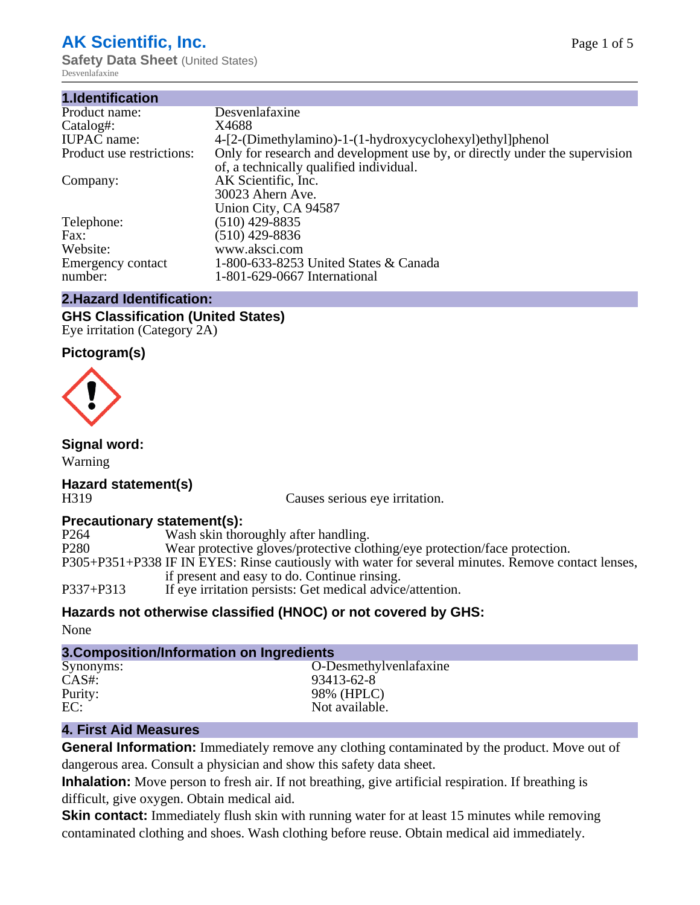# **AK Scientific, Inc.**

**Safety Data Sheet** (United States) Desvenlafaxine

| 1.Identification          |                                                                             |
|---------------------------|-----------------------------------------------------------------------------|
| Product name:             | Desvenlafaxine                                                              |
| Catalog#:                 | X4688                                                                       |
| <b>IUPAC</b> name:        | 4-[2-(Dimethylamino)-1-(1-hydroxycyclohexyl)ethyl]phenol                    |
| Product use restrictions: | Only for research and development use by, or directly under the supervision |
|                           | of, a technically qualified individual.                                     |
| Company:                  | AK Scientific, Inc.                                                         |
|                           | 30023 Ahern Ave.                                                            |
|                           | Union City, CA 94587                                                        |
| Telephone:                | $(510)$ 429-8835                                                            |
| Fax:                      | $(510)$ 429-8836                                                            |
| Website:                  | www.aksci.com                                                               |
| Emergency contact         | 1-800-633-8253 United States & Canada                                       |
| number:                   | 1-801-629-0667 International                                                |
|                           |                                                                             |

## **2.Hazard Identification:**

#### **GHS Classification (United States)** Eye irritation (Category 2A)

## **Pictogram(s)**



## **Signal word:**

Warning

# **Hazard statement(s)**

H319 Causes serious eye irritation.

## **Precautionary statement(s):**

| P264<br>Wash skin thoroughly after handling.                                                       |                                                                            |
|----------------------------------------------------------------------------------------------------|----------------------------------------------------------------------------|
| P <sub>280</sub>                                                                                   | Wear protective gloves/protective clothing/eye protection/face protection. |
| P305+P351+P338 IF IN EYES: Rinse cautiously with water for several minutes. Remove contact lenses, |                                                                            |
| if present and easy to do. Continue rinsing.                                                       |                                                                            |
| P337+P313<br>If eye irritation persists: Get medical advice/attention.                             |                                                                            |

## **Hazards not otherwise classified (HNOC) or not covered by GHS:**

None

# **3.Composition/Information on Ingredients**

| O-Desmethylvenlafaxine |
|------------------------|
| 93413-62-8             |
| 98% (HPLC)             |
| Not available.         |
|                        |

## **4. First Aid Measures**

**General Information:** Immediately remove any clothing contaminated by the product. Move out of dangerous area. Consult a physician and show this safety data sheet.

**Inhalation:** Move person to fresh air. If not breathing, give artificial respiration. If breathing is difficult, give oxygen. Obtain medical aid.

**Skin contact:** Immediately flush skin with running water for at least 15 minutes while removing contaminated clothing and shoes. Wash clothing before reuse. Obtain medical aid immediately.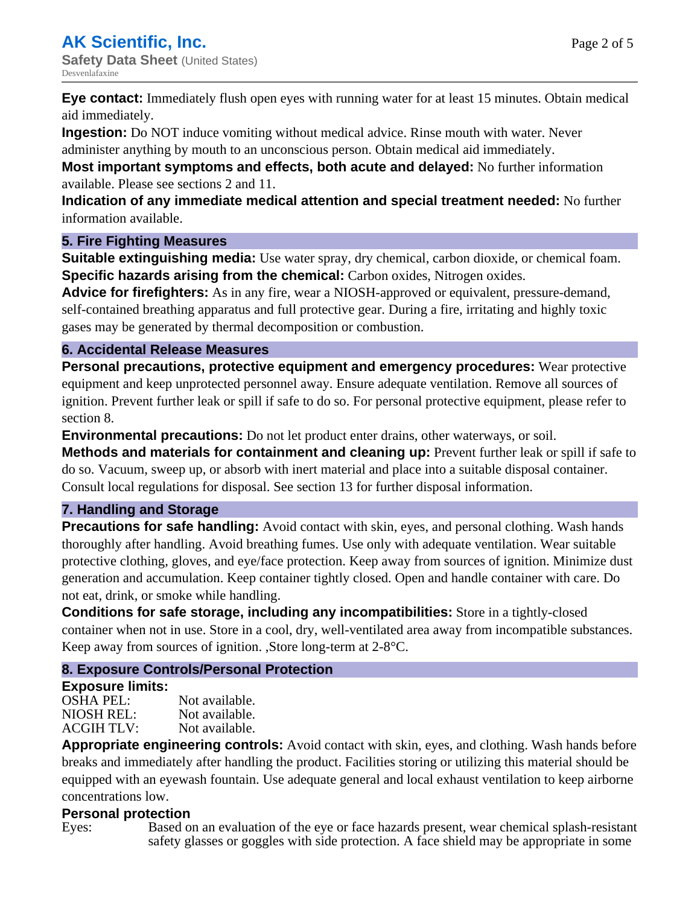**Eye contact:** Immediately flush open eyes with running water for at least 15 minutes. Obtain medical aid immediately.

**Ingestion:** Do NOT induce vomiting without medical advice. Rinse mouth with water. Never administer anything by mouth to an unconscious person. Obtain medical aid immediately.

**Most important symptoms and effects, both acute and delayed:** No further information available. Please see sections 2 and 11.

**Indication of any immediate medical attention and special treatment needed:** No further information available.

## **5. Fire Fighting Measures**

**Suitable extinguishing media:** Use water spray, dry chemical, carbon dioxide, or chemical foam. **Specific hazards arising from the chemical:** Carbon oxides, Nitrogen oxides.

**Advice for firefighters:** As in any fire, wear a NIOSH-approved or equivalent, pressure-demand, self-contained breathing apparatus and full protective gear. During a fire, irritating and highly toxic gases may be generated by thermal decomposition or combustion.

## **6. Accidental Release Measures**

**Personal precautions, protective equipment and emergency procedures:** Wear protective equipment and keep unprotected personnel away. Ensure adequate ventilation. Remove all sources of ignition. Prevent further leak or spill if safe to do so. For personal protective equipment, please refer to section 8.

**Environmental precautions:** Do not let product enter drains, other waterways, or soil.

**Methods and materials for containment and cleaning up:** Prevent further leak or spill if safe to do so. Vacuum, sweep up, or absorb with inert material and place into a suitable disposal container. Consult local regulations for disposal. See section 13 for further disposal information.

## **7. Handling and Storage**

**Precautions for safe handling:** Avoid contact with skin, eyes, and personal clothing. Wash hands thoroughly after handling. Avoid breathing fumes. Use only with adequate ventilation. Wear suitable protective clothing, gloves, and eye/face protection. Keep away from sources of ignition. Minimize dust generation and accumulation. Keep container tightly closed. Open and handle container with care. Do not eat, drink, or smoke while handling.

**Conditions for safe storage, including any incompatibilities:** Store in a tightly-closed container when not in use. Store in a cool, dry, well-ventilated area away from incompatible substances. Keep away from sources of ignition. ,Store long-term at 2-8°C.

## **8. Exposure Controls/Personal Protection**

## **Exposure limits:**

OSHA PEL: Not available. NIOSH REL: Not available.<br>ACGIH TLV: Not available. ACGIH TLV:

**Appropriate engineering controls:** Avoid contact with skin, eyes, and clothing. Wash hands before breaks and immediately after handling the product. Facilities storing or utilizing this material should be equipped with an eyewash fountain. Use adequate general and local exhaust ventilation to keep airborne concentrations low.

## **Personal protection**

Eyes: Based on an evaluation of the eye or face hazards present, wear chemical splash-resistant safety glasses or goggles with side protection. A face shield may be appropriate in some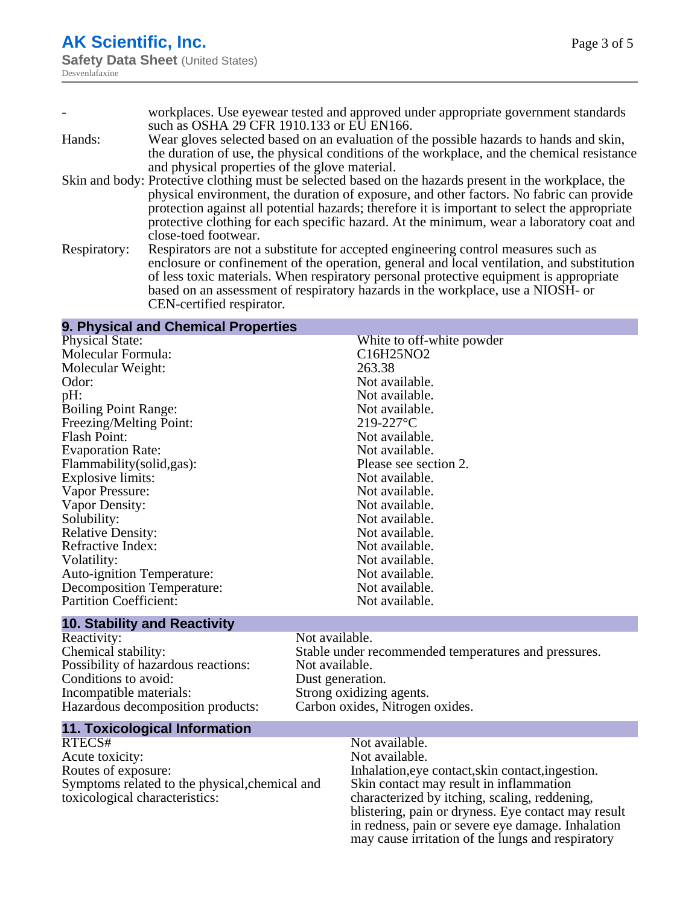|              | workplaces. Use eyewear tested and approved under appropriate government standards                     |
|--------------|--------------------------------------------------------------------------------------------------------|
|              | such as OSHA 29 CFR 1910.133 or EU EN166.                                                              |
| Hands:       | Wear gloves selected based on an evaluation of the possible hazards to hands and skin,                 |
|              | the duration of use, the physical conditions of the workplace, and the chemical resistance             |
|              | and physical properties of the glove material.                                                         |
|              | Skin and body: Protective clothing must be selected based on the hazards present in the workplace, the |
|              | physical environment, the duration of exposure, and other factors. No fabric can provide               |
|              | protection against all potential hazards; therefore it is important to select the appropriate          |
|              | protective clothing for each specific hazard. At the minimum, wear a laboratory coat and               |
|              | close-toed footwear.                                                                                   |
| Respiratory: | Respirators are not a substitute for accepted engineering control measures such as                     |
|              | enclosure or confinement of the operation, general and local ventilation, and substitution             |
|              | of less toxic materials. When respiratory personal protective equipment is appropriate                 |
|              | based on an assessment of respiratory hazards in the workplace, use a NIOSH- or                        |

CEN-certified respirator.

#### **9. Physical and Chemical Properties**

Physical State:<br>
Molecular Formula:<br>
Molecular Formula:<br>
C16H25NO2 Molecular Formula: Molecular Weight: 263.38 Odor: Not available.<br>
Dependix of the Mot available.<br>
Not available. Boiling Point Range: Not available.<br>
Freezing/Melting Point: 219-227°C Freezing/Melting Point: Flash Point: Not available. Evaporation Rate:  $\frac{1}{2}$  Not available.<br>
Flammability(solid,gas): Please see section 2. Flammability(solid,gas):<br>Explosive limits: Please see section 2.1 and 2.2 and 2.2 and 2.2 and 2.2 and 2.2 and 2.2 and 2.2 and 2.2 and 2.2 and 2.2 and 2.2 and 2.2 and 2.2 and 2.2 and 2.2 and 2.2 and 2.2 and 2.2 and 2.2 and Explosive limits: Vapor Pressure: Not available.<br>
Vapor Density: Not available. Vapor Density: Solubility: Not available.<br>
Relative Density: Not available.<br>
Not available. Relative Density:<br>
Refractive Index:<br>
Not available.<br>
Not available. Refractive Index: Volatility: Not available.<br>
Not available. Not available. Auto-ignition Temperature: Decomposition Temperature: Not available. Partition Coefficient: Not available.

Not available.<br>Not available.

#### **10. Stability and Reactivity**

Reactivity: Not available. Possibility of hazardous reactions: Not available. Conditions to avoid:<br>
Incompatible materials:<br>
Strong oxidizing Hazardous decomposition products: Carbon oxides, Nitrogen oxides.

Chemical stability: Stable under recommended temperatures and pressures. Strong oxidizing agents.

#### **11. Toxicological Information**

RTECS# Not available.<br>Acute toxicity: Not available. Acute toxicity: Routes of exposure: Inhalation,eye contact,skin contact,ingestion. Symptoms related to the physical,chemical and toxicological characteristics:

# Skin contact may result in inflammation characterized by itching, scaling, reddening, blistering, pain or dryness. Eye contact may result in redness, pain or severe eye damage. Inhalation may cause irritation of the lungs and respiratory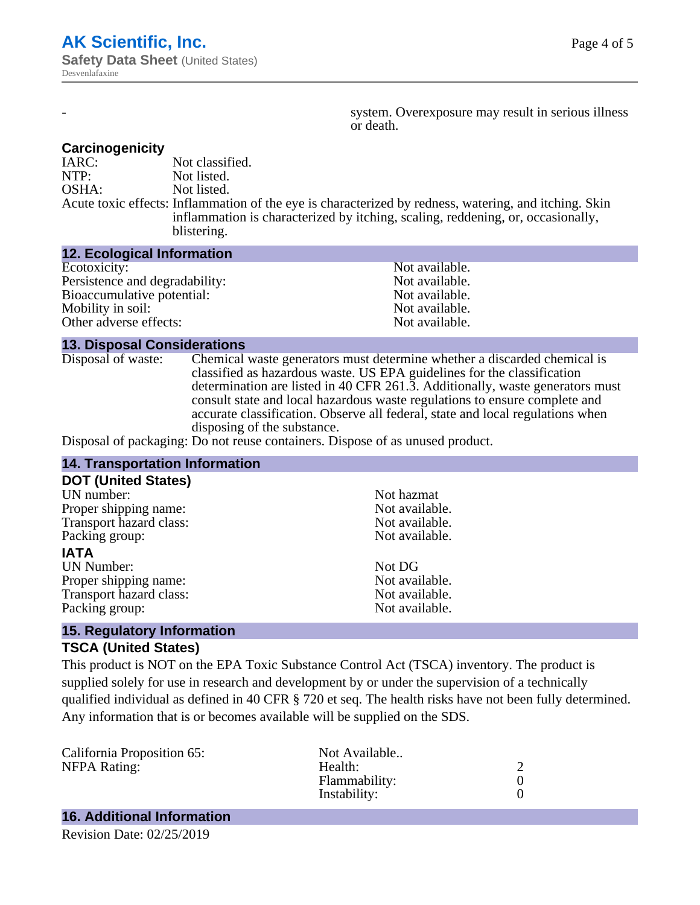system. Overexposure may result in serious illness or death.

#### **Carcinogenicity**

IARC: Not classified.<br>
NOTP: Not listed. Not listed. OSHA: Not listed. Acute toxic effects: Inflammation of the eye is characterized by redness, watering, and itching. Skin inflammation is characterized by itching, scaling, reddening, or, occasionally, blistering.

#### **12. Ecological Information**

| Not available. |
|----------------|
| Not available. |
| Not available. |
| Not available. |
| Not available. |
|                |

#### **13. Disposal Considerations**

Disposal of waste: Chemical waste generators must determine whether a discarded chemical is classified as hazardous waste. US EPA guidelines for the classification determination are listed in 40 CFR 261.3. Additionally, waste generators must consult state and local hazardous waste regulations to ensure complete and accurate classification. Observe all federal, state and local regulations when disposing of the substance.

Disposal of packaging: Do not reuse containers. Dispose of as unused product.

| <b>14. Transportation Information</b>                                                         |                |  |
|-----------------------------------------------------------------------------------------------|----------------|--|
| <b>DOT (United States)</b>                                                                    |                |  |
| UN number:                                                                                    | Not hazmat     |  |
| Proper shipping name:                                                                         | Not available. |  |
| Transport hazard class:                                                                       | Not available. |  |
| Packing group:                                                                                | Not available. |  |
| <b>IATA</b>                                                                                   |                |  |
| <b>UN Number:</b>                                                                             | Not DG         |  |
| Proper shipping name:                                                                         | Not available. |  |
| Transport hazard class:                                                                       | Not available. |  |
| Packing group:                                                                                | Not available. |  |
| $\mathbf{A} = \mathbf{B}$ and $\mathbf{A}$ and $\mathbf{B}$ and $\mathbf{A}$ and $\mathbf{A}$ |                |  |

#### **15. Regulatory Information TSCA (United States)**

This product is NOT on the EPA Toxic Substance Control Act (TSCA) inventory. The product is supplied solely for use in research and development by or under the supervision of a technically qualified individual as defined in 40 CFR § 720 et seq. The health risks have not been fully determined. Any information that is or becomes available will be supplied on the SDS.

| California Proposition 65: | Not Available |  |
|----------------------------|---------------|--|
| <b>NFPA Rating:</b>        | Health:       |  |
|                            | Flammability: |  |
|                            | Instability:  |  |
|                            |               |  |

# **16. Additional Information**

Revision Date: 02/25/2019